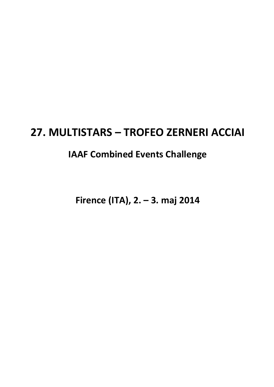# **27. MULTISTARS – TROFEO ZERNERI ACCIAI**

# **IAAF Combined Events Challenge**

**Firence (ITA), 2. – 3. maj 2014**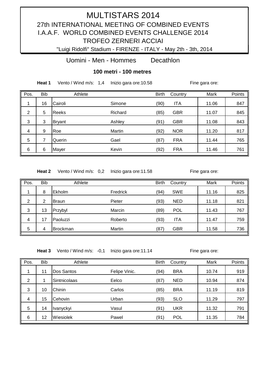"Luigi Ridolfi" Stadium - FIRENZE - ITALY - May 2th - 3th, 2014

Uomini - Men - Hommes Decathlon

**100 metri - 100 metres** 

**Heat 1** Vento / Wind m/s: 1,4 Inizio gara ore: 10.58 Fine gara ore:

| Pos. | <b>Bib</b> | Athlete       |         | <b>Birth</b> | Country    | Mark  | Points |
|------|------------|---------------|---------|--------------|------------|-------|--------|
| 1    | 16         | Cairoli       | Simone  | (90)         | <b>ITA</b> | 11.06 | 847    |
| 2    | 5          | Reeks         | Richard | (85)         | <b>GBR</b> | 11.07 | 845    |
| 3    | 3          | <b>Bryant</b> | Ashley  | (91)         | <b>GBR</b> | 11.08 | 843    |
| 4    | 9          | Roe           | Martin  | (92)         | <b>NOR</b> | 11.20 | 817    |
| 5    |            | Querin        | Gael    | (87)         | <b>FRA</b> | 11.44 | 765    |
| 6    | 6          | Mayer         | Kevin   | (92)         | <b>FRA</b> | 11.46 | 761    |

Heat 2 Vento / Wind m/s: 0,2 Inizio gara ore: 11.58 Fine gara ore:

| Pos.           | <b>Bib</b> | Athlete         |          | <b>Birth</b> | Country    | Mark  | Points |
|----------------|------------|-----------------|----------|--------------|------------|-------|--------|
| 1              | 8          | Ekholm          | Fredrick | (94)         | <b>SWE</b> | 11.16 | 825    |
| $\overline{2}$ | 2          | <b>Braun</b>    | Pieter   | (93)         | <b>NED</b> | 11.18 | 821    |
| 3              | 13         | Przybyl         | Marcin   | (89)         | <b>POL</b> | 11.43 | 767    |
| $\overline{4}$ | 17         | Paoluzzi        | Roberto  | (93)         | <b>ITA</b> | 11.47 | 759    |
| 5              | 4          | <b>Brockman</b> | Martin   | (87)         | <b>GBR</b> | 11.58 | 736    |

Heat 3 Vento / Wind m/s: -0,1 Inizio gara ore: 11.14 Fine gara ore:

| Pos. | <b>Bib</b> | Athlete      |               | <b>Birth</b> | Country    | Mark  | Points |
|------|------------|--------------|---------------|--------------|------------|-------|--------|
| 1    | 11         | Dos Santos   | Felipe Vinic. | (94)         | <b>BRA</b> | 10.74 | 919    |
| 2    |            | Sintnicolaas | Eelco         | (87)         | <b>NED</b> | 10.94 | 874    |
| 3    | 10         | Chinin       | Carlos        | (85)         | <b>BRA</b> | 11.19 | 819    |
| 4    | 15         | Cehovin      | Urban         | (93)         | <b>SLO</b> | 11.29 | 797    |
| 5    | 14         | Ivanyckyi    | Vasul         | (91)         | <b>UKR</b> | 11.32 | 791    |
| 6    | 12         | Wiesiolek    | Pawel         | (91)         | <b>POL</b> | 11.35 | 784    |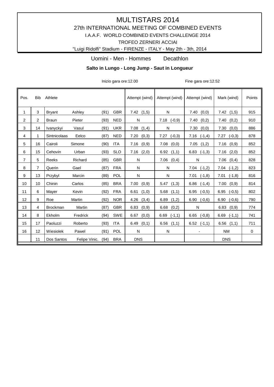### **MULTISTARS 2014** 27th INTERNATIONAL MEETING OF COMBINED EVENTS I.A.A.F. WORLD COMBINED EVENTS CHALLENGE 2014

TROFEO ZERNERI ACCIAI

"Luigi Ridolfi" Stadium - FIRENZE - ITALY - May 2th - 3th, 2014

#### Uomini - Men - Hommes Decathlon

#### **Salto in Lungo - Long Jump - Saut in Longueur Salto in Lungo - Long Jump - Saut in Longueur**

Inizio gara ore:12.00 Fine gara ore:12.52

| Pos.           | <b>Bib</b> | Athlete         |               |      |            | Attempt (wind) | Attempt (wind)   | Attempt (wind)   | Mark (wind)      | Points      |
|----------------|------------|-----------------|---------------|------|------------|----------------|------------------|------------------|------------------|-------------|
| $\mathbf 1$    | 3          | <b>Bryant</b>   | Ashley        | (91) | <b>GBR</b> | 7.42(1,5)      | N                | 7.40<br>(0,0)    | 7.42<br>(1,5)    | 915         |
| 2              | 2          | <b>Braun</b>    | Pieter        | (93) | <b>NED</b> | N              | $7.18$ $(-0,9)$  | 7.40<br>(0,2)    | 7.40<br>(0,2)    | 910         |
| 3              | 14         | Ivanyckyi       | Vasul         | (91) | <b>UKR</b> | 7.08<br>(1,4)  | N                | 7.30<br>(0,0)    | 7.30<br>(0,0)    | 886         |
| 4              | 1          | Sintnicolaas    | Eelco         | (87) | <b>NED</b> | 7.20<br>(0,3)  | $(-0,3)$<br>7.27 | 7.16<br>$(-1,4)$ | 7.27<br>$(-0,3)$ | 878         |
| 5              | 16         | Cairoli         | Simone        | (90) | <b>ITA</b> | (0,9)<br>7.16  | (0,0)<br>7.08    | (1,2)<br>7.05    | 7.16<br>(0,9)    | 852         |
| 6              | 15         | Cehovin         | Urban         | (93) | <b>SLO</b> | 7.16<br>(2,0)  | 6.92<br>(1,1)    | 6.83<br>$(-1,3)$ | 7.16<br>(2,0)    | 852         |
| $\overline{7}$ | 5          | Reeks           | Richard       | (85) | <b>GBR</b> | N              | 7.06<br>(0,4)    | N                | 7.06<br>(0,4)    | 828         |
| 8              | 7          | Querin          | Gael          | (87) | <b>FRA</b> | N              | N                | $7.04$ $(-1,2)$  | $(-1,2)$<br>7.04 | 823         |
| 9              | 13         | Przybyl         | Marcin        | (89) | POL        | N              | N                | 7.01<br>$(-1,8)$ | 7.01<br>$(-1,8)$ | 816         |
| 10             | 10         | Chinin          | Carlos        | (85) | <b>BRA</b> | 7.00<br>(0,9)  | (1,3)<br>5.47    | 6.86<br>$(-1,4)$ | 7.00<br>(0,9)    | 814         |
| 11             | 6          | Mayer           | Kevin         | (92) | <b>FRA</b> | 6.61<br>(1,0)  | 5.68<br>(1,1)    | 6.95<br>$(-0,5)$ | 6.95<br>$(-0,5)$ | 802         |
| 12             | 9          | Roe             | Martin        | (92) | <b>NOR</b> | 4.26<br>(3,4)  | 6.89<br>(1,2)    | $6.90$ $(-0,6)$  | 6.90<br>$(-0,6)$ | 790         |
| 13             | 4          | <b>Brockman</b> | Martin        | (87) | <b>GBR</b> | 6.83<br>(0,9)  | (0,2)<br>6.68    | N                | 6.83<br>(0,9)    | 774         |
| 14             | 8          | Ekholm          | Fredrick      | (94) | <b>SWE</b> | 6.67<br>(0,0)  | 6.69<br>$(-1,1)$ | $6.65$ $(-0,8)$  | $(-1,1)$<br>6.69 | 741         |
| 15             | 17         | Paoluzzi        | Roberto       | (93) | <b>ITA</b> | 6.49<br>(0,1)  | 6.56<br>(1,1)    | $6.52$ $(-1,1)$  | 6.56<br>(1,1)    | 711         |
| 16             | 12         | Wiesiolek       | Pawel         | (91) | POL        | N              | N                |                  | <b>NM</b>        | $\mathbf 0$ |
|                | 11         | Dos Santos      | Felipe Vinic. | (94) | <b>BRA</b> | <b>DNS</b>     |                  |                  | <b>DNS</b>       |             |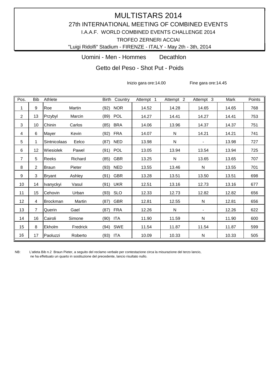"Luigi Ridolfi" Stadium - FIRENZE - ITALY - May 2th - 3th, 2014

Uomini - Men - Hommes Decathlon

Getto del Peso - Shot Put - Poids

Inizio gara ore:14.00 Fine gara ore:14.45

| Pos.           | <b>Bib</b>     | Athlete         |          | Birth    | Country    | Attempt 1 | Attempt $\overline{2}$ | Attempt $3$              | Mark  | Points |
|----------------|----------------|-----------------|----------|----------|------------|-----------|------------------------|--------------------------|-------|--------|
| 1              | 9              | Roe             | Martin   | (92)     | <b>NOR</b> | 14.52     | 14.28                  | 14.65                    | 14.65 | 768    |
| $\overline{2}$ | 13             | Przybyl         | Marcin   | (89)     | POL        | 14.27     | 14.41                  | 14.27                    | 14.41 | 753    |
| 3              | 10             | Chinin          | Carlos   | (85)     | <b>BRA</b> | 14.06     | 13.96                  | 14.37                    | 14.37 | 751    |
| 4              | 6              | Mayer           | Kevin    | (92)     | <b>FRA</b> | 14.07     | N                      | 14.21                    | 14.21 | 741    |
| 5              | 1              | Sintnicolaas    | Eelco    | (87)     | <b>NED</b> | 13.98     | N                      | $\blacksquare$           | 13.98 | 727    |
| 6              | 12             | Wiesiolek       | Pawel    | (91)     | POL        | 13.05     | 13.94                  | 13.54                    | 13.94 | 725    |
| 7              | 5              | Reeks           | Richard  | (85)     | <b>GBR</b> | 13.25     | N                      | 13.65                    | 13.65 | 707    |
| 8              | $\overline{2}$ | Braun           | Pieter   | (93) NED |            | 13.55     | 13.46                  | N                        | 13.55 | 701    |
| 9              | 3              | <b>Bryant</b>   | Ashley   | (91)     | GBR        | 13.28     | 13.51                  | 13.50                    | 13.51 | 698    |
| 10             | 14             | Ivanyckyi       | Vasul    | (91)     | <b>UKR</b> | 12.51     | 13.16                  | 12.73                    | 13.16 | 677    |
| 11             | 15             | Cehovin         | Urban    | (93) SLO |            | 12.33     | 12.73                  | 12.82                    | 12.82 | 656    |
| 12             | 4              | <b>Brockman</b> | Martin   | (87)     | <b>GBR</b> | 12.81     | 12.55                  | N                        | 12.81 | 656    |
| 13             | $\overline{7}$ | Querin          | Gael     | (87)     | <b>FRA</b> | 12.26     | N                      | $\overline{\phantom{a}}$ | 12.26 | 622    |
| 14             | 16             | Cairoli         | Simone   | (90) ITA |            | 11.90     | 11.59                  | ${\sf N}$                | 11.90 | 600    |
| 15             | 8              | Ekholm          | Fredrick | (94)     | SWE        | 11.54     | 11.87                  | 11.54                    | 11.87 | 599    |
| 16             | 17             | Paoluzzi        | Roberto  | (93)     | ITA        | 10.09     | 10.33                  | $\mathsf{N}$             | 10.33 | 505    |

NB: L'atleta Bib n.2 Braun Pieter, a seguito del reclamo verbale per contestazione circa la misurazione del terzo lancio, ne ha effettuato un quarto in sostituzione del precedente, lancio risultato nullo.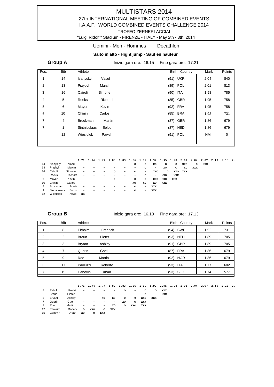#### "Luigi Ridolfi" Stadium - FIRENZE - ITALY - May 2th - 3th, 2014

#### Uomini - Men - Hommes Decathlon

#### **Salto in alto - Hight jump - Saut en hauteur**

**Group A** Inizio gara ore: 16.15 Fine gara ore: 17.21

| Pos.           | <b>Bib</b> | Athlete                   | Birth Country      | Mark | Points |
|----------------|------------|---------------------------|--------------------|------|--------|
| 1              | 14         | Vasul<br>Ivanyckyi        | <b>UKR</b><br>(91) | 2.04 | 840    |
| 2              | 13         | Przybyl<br>Marcin         | POL<br>(89)        | 2.01 | 813    |
| 3              | 16         | Cairoli<br>Simone         | ITA<br>(90)        | 1.98 | 785    |
| $\overline{4}$ | 5          | Richard<br><b>Reeks</b>   | <b>GBR</b><br>(85) | 1.95 | 758    |
| 5              | 6          | Mayer<br>Kevin            | <b>FRA</b><br>(92) | 1.95 | 758    |
| 6              | 10         | Chinin<br>Carlos          | <b>BRA</b><br>(85) | 1.92 | 731    |
| 7              | 4          | <b>Brockman</b><br>Martin | <b>GBR</b><br>(87) | 1.86 | 679    |
| $\overline{7}$ | 1          | Eelco<br>Sintnicolaas     | <b>NED</b><br>(87) | 1.86 | 679    |
|                | 12         | Wiesiolek<br>Pawel        | POL<br>(91)        | ΝM   | 0      |
|                |            |                           |                    |      |        |

|    |                 |         |                          | 1.71 1.74 | 1.77                     | 1.80                     |                          | 1.83 1.86 1.89 |                          | 1.92 1.95 1.98 2.01 2.04 2.07 2.10 2.13 2. |         |            |     |            |     |  |  |
|----|-----------------|---------|--------------------------|-----------|--------------------------|--------------------------|--------------------------|----------------|--------------------------|--------------------------------------------|---------|------------|-----|------------|-----|--|--|
| 14 | Ivanyckyi       | Vasul   | $\overline{\phantom{a}}$ |           |                          |                          |                          | $\circ$        | $\circ$                  | XO                                         | $\circ$ | $\circ$    | XXO | $\circ$    | XXX |  |  |
| 13 | Przybyl         | Marcin  | $\overline{\phantom{a}}$ |           |                          |                          |                          |                | $\circ$                  | $\overline{\phantom{0}}$                   | XO      | $\circ$    | XO  | <b>XXX</b> |     |  |  |
| 16 | Cairoli         | Simone  | $\overline{\phantom{a}}$ | $\circ$   | $\overline{\phantom{0}}$ | $\circ$                  | $\overline{\phantom{a}}$ | $\circ$        | $\overline{\phantom{0}}$ | XXO                                        | $\circ$ | XXO        | xxx |            |     |  |  |
| 5  | Reeks           | Richard | $\overline{\phantom{a}}$ |           |                          | $\overline{\phantom{0}}$ |                          |                | $\circ$                  | $\overline{\phantom{0}}$                   | XXO     | <b>XXX</b> |     |            |     |  |  |
| 6  | Mayer           | Kevin   | $\overline{\phantom{a}}$ |           | $\overline{\phantom{0}}$ | $\circ$                  | $\overline{\phantom{a}}$ | $\circ$        | $\circ$                  | XXO                                        | XXO     | <b>XXR</b> |     |            |     |  |  |
| 10 | Chinin          | Carlos  | $\overline{\phantom{a}}$ |           |                          | -                        | $\overline{\phantom{a}}$ | XO             | XO                       | XO                                         | XXX     |            |     |            |     |  |  |
| 4  | <b>Brockman</b> | Martin  | $\overline{\phantom{a}}$ |           |                          | $\qquad \qquad$          | $\overline{\phantom{a}}$ | $\circ$        | $\overline{\phantom{a}}$ | XXX                                        |         |            |     |            |     |  |  |
|    | Sintnicolaas    | Eelco   | $\overline{\phantom{a}}$ |           |                          | $\qquad \qquad$          | $\overline{\phantom{a}}$ | o              | $\overline{\phantom{a}}$ | XXX                                        |         |            |     |            |     |  |  |
| 12 | Wiesiolek       | Pawel   | XR                       |           |                          |                          |                          |                |                          |                                            |         |            |     |            |     |  |  |

**Group B** Inizio gara ore: 16.10 Fine gara ore: 17.13

| Pos. | <b>Bib</b>     | Athlete       |          | Birth Country      | Mark | Points |
|------|----------------|---------------|----------|--------------------|------|--------|
| 4    | 8              | Ekholm        | Fredrick | SWE<br>(94)        | 1.92 | 731    |
| 2    | $\overline{2}$ | Braun         | Pieter   | <b>NED</b><br>(93) | 1.89 | 705    |
| 3    | 3              | <b>Bryant</b> | Ashley   | <b>GBR</b><br>(91) | 1.89 | 705    |
| 4    | 7              | Querin        | Gael     | <b>FRA</b><br>(87) | 1.86 | 679    |
| 5    | 9              | Roe           | Martin   | <b>NOR</b><br>(92) | 1.86 | 679    |
| 6    | 17             | Paoluzzi      | Roberto  | <b>ITA</b><br>(93) | 1.77 | 602    |
| 7    | 15             | Cehovin       | Urban    | (93) SLO           | 1.74 | 577    |

|                |          |         |                          |                          |                          |                          | 1.71 1.74 1.77 1.80 1.83 1.86 1.89 1.92 1.95 1.98 2.01 2.04 2.07 2.10 2.13 2. |                          |     |                          |     |  |  |  |  |
|----------------|----------|---------|--------------------------|--------------------------|--------------------------|--------------------------|-------------------------------------------------------------------------------|--------------------------|-----|--------------------------|-----|--|--|--|--|
| 8              | Ekholm   | Fredric | $\overline{\phantom{0}}$ | $\overline{\phantom{a}}$ | $\overline{\phantom{0}}$ | -                        | ο                                                                             | $\overline{\phantom{a}}$ | O   | $\circ$                  | XXX |  |  |  |  |
| 2              | Braun    | Pieter  | $\overline{\phantom{0}}$ |                          | -                        |                          |                                                                               | $\overline{\phantom{a}}$ | ο   | $\overline{\phantom{0}}$ | XXX |  |  |  |  |
| 3              | Bryant   | Ashley  | -                        | $\overline{\phantom{0}}$ | xо                       | XO                       | $\circ$                                                                       | 0                        | XXO | <b>XXX</b>               |     |  |  |  |  |
| $\overline{7}$ | Querin   | Gael    | $\overline{\phantom{0}}$ |                          | $\overline{\phantom{0}}$ | $\overline{\phantom{0}}$ | XO                                                                            | $\circ$                  | XXX |                          |     |  |  |  |  |
| 9              | Roe      | Martin  | $\overline{\phantom{0}}$ | $\overline{\phantom{a}}$ | $\overline{\phantom{0}}$ | XO                       | $\circ$                                                                       | xxo                      | XXX |                          |     |  |  |  |  |
| 17             | Paoluzzi | Robert  | $\circ$                  | XXO                      | $\circ$                  | XXX                      |                                                                               |                          |     |                          |     |  |  |  |  |
| 15             | Cehovin  | Urban   | XO                       | $\circ$                  | XXX                      |                          |                                                                               |                          |     |                          |     |  |  |  |  |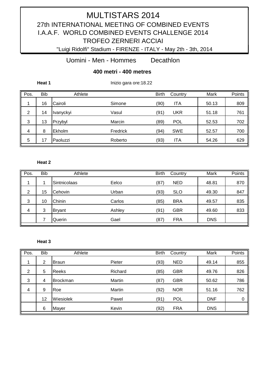"Luigi Ridolfi" Stadium - FIRENZE - ITALY - May 2th - 3th, 2014

Uomini - Men - Hommes Decathlon

### **400 metri - 400 metres**

**Heat 1 Inizio gara ore:18.22** 

| Pos. | <b>Bib</b> | Athlete   |          | <b>Birth</b> | Country    | Mark  | Points |
|------|------------|-----------|----------|--------------|------------|-------|--------|
|      | 16         | Cairoli   | Simone   | (90)         | <b>ITA</b> | 50.13 | 809    |
| 2    | 14         | Ivanyckyi | Vasul    | (91)         | UKR        | 51.18 | 761    |
| 3    | 13         | Przybyl   | Marcin   | (89)         | <b>POL</b> | 52.53 | 702    |
| 4    | 8          | Ekholm    | Fredrick | (94)         | <b>SWE</b> | 52.57 | 700    |
| 5    | 7          | Paoluzzi  | Roberto  | (93)         | ITA        | 54.26 | 629    |

#### **Heat 2 Inizio gara ore:** 18.333 Fine gara ore:18.333 Fine gara ore:18.333 Fine gara ore:18.333 Fine gara or

| Pos.           | <b>Bib</b> | Athlete       |        | <b>Birth</b> | Country    | Mark       | Points |
|----------------|------------|---------------|--------|--------------|------------|------------|--------|
|                |            | Sintnicolaas  | Eelco  | (87)         | <b>NED</b> | 48.81      | 870    |
| $\overline{2}$ | 15         | Cehovin       | Urban  | (93)         | <b>SLO</b> | 49.30      | 847    |
| 3              | 10         | Chinin        | Carlos | (85)         | <b>BRA</b> | 49.57      | 835    |
| 4              | 3          | <b>Bryant</b> | Ashley | (91)         | <b>GBR</b> | 49.60      | 833    |
|                |            | Querin        | Gael   | (87)         | <b>FRA</b> | <b>DNS</b> |        |

#### **Heat 3** Fine gara or :18.39 Fine gara or :18.400 Fine gara or :18.400 Fine gara or :18.400 Fine gara or :18.400 Fine gara or :18.400 Fine gara or :18.400 Fine gara or :18.400 Fine gara or :18.400 Fine gara or :18.400 Fine

| Pos.           | Bib | Athlete         |         | <b>Birth</b> | Country    | Mark       | Points |
|----------------|-----|-----------------|---------|--------------|------------|------------|--------|
| 1              | 2   | <b>Braun</b>    | Pieter  | (93)         | <b>NED</b> | 49.14      | 855    |
| $\overline{2}$ | 5   | Reeks           | Richard | (85)         | <b>GBR</b> | 49.76      | 826    |
| 3              | 4   | <b>Brockman</b> | Martin  | (87)         | <b>GBR</b> | 50.62      | 786    |
| 4              | 9   | Roe             | Martin  | (92)         | <b>NOR</b> | 51.16      | 762    |
|                | 12  | Wiesiolek       | Pawel   | (91)         | <b>POL</b> | <b>DNF</b> | 0      |
|                | 6   | Mayer           | Kevin   | (92)         | <b>FRA</b> | <b>DNS</b> |        |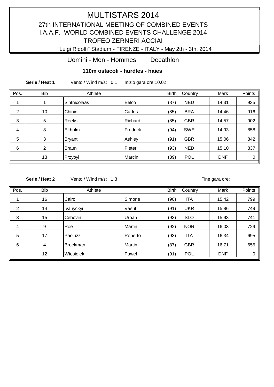"Luigi Ridolfi" Stadium - FIRENZE - ITALY - May 2th - 3th, 2014

Uomini - Men - Hommes Decathlon

#### **110m ostacoli - hurdles - haies**

**Serie / Heat 1** Vento / Wind m/s: 0,1 Inizio gara ore:10.02

| Pos.           | <b>Bib</b> | Athlete       |          | <b>Birth</b> | Country    | Mark       | Points |
|----------------|------------|---------------|----------|--------------|------------|------------|--------|
|                |            | Sintnicolaas  | Eelco    | (87)         | <b>NED</b> | 14.31      | 935    |
| $\overline{2}$ | 10         | Chinin        | Carlos   | (85)         | <b>BRA</b> | 14.46      | 916    |
| 3              | 5          | <b>Reeks</b>  | Richard  | (85)         | <b>GBR</b> | 14.57      | 902    |
| 4              | 8          | Ekholm        | Fredrick | (94)         | <b>SWE</b> | 14.93      | 858    |
| 5              | 3          | <b>Bryant</b> | Ashley   | (91)         | <b>GBR</b> | 15.06      | 842    |
| 6              | 2          | <b>Braun</b>  | Pieter   | (93)         | <b>NED</b> | 15.10      | 837    |
|                | 13         | Przybyl       | Marcin   | (89)         | <b>POL</b> | <b>DNF</b> | 0      |

**Serie / Heat 2** Vento / Wind m/s: 1,3 Inizio gara ore: Inizio gara ore:

| Pos. | <b>Bib</b>       | Athlete         |         | <b>Birth</b> | Country    | Mark       | Points |
|------|------------------|-----------------|---------|--------------|------------|------------|--------|
| 1    | 16               | Cairoli         | Simone  | (90)         | <b>ITA</b> | 15.42      | 799    |
| 2    | 14               | Ivanyckyi       | Vasul   | (91)         | <b>UKR</b> | 15.86      | 749    |
| 3    | 15               | Cehovin         | Urban   | (93)         | <b>SLO</b> | 15.93      | 741    |
| 4    | $\boldsymbol{9}$ | Roe             | Martin  | (92)         | <b>NOR</b> | 16.03      | 729    |
| 5    | 17               | Paoluzzi        | Roberto | (93)         | <b>ITA</b> | 16.34      | 695    |
| 6    | 4                | <b>Brockman</b> | Martin  | (87)         | <b>GBR</b> | 16.71      | 655    |
|      | 12               | Wiesiolek       | Pawel   | (91)         | <b>POL</b> | <b>DNF</b> | 0      |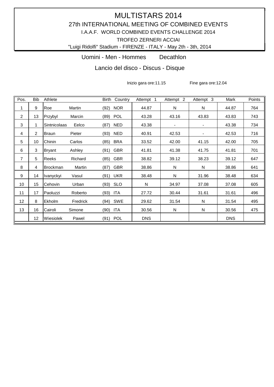"Luigi Ridolfi" Stadium - FIRENZE - ITALY - May 2th - 3th, 2014

Uomini - Men - Hommes Decathlon

Lancio del disco - Discus - Disque

Inizio gara ore:11.15 Fine gara ore:12.04

| Pos. | <b>Bib</b>      | Athlete             |          |          | Birth Country | Attempt 1  | Attempt 2      | Attempt 3      | Mark       | Points |
|------|-----------------|---------------------|----------|----------|---------------|------------|----------------|----------------|------------|--------|
| 1    | 9               | Roe                 | Martin   | (92)     | <b>NOR</b>    | 44.87      | N              | N              | 44.87      | 764    |
| 2    | 13              | Przybyl             | Marcin   | (89) POL |               | 43.28      | 43.16          | 43.83          | 43.83      | 743    |
| 3    | 1               | <b>Sintnicolaas</b> | Eelco    | (87)     | NED.          | 43.38      | $\blacksquare$ | $\blacksquare$ | 43.38      | 734    |
| 4    | $\overline{2}$  | <b>Braun</b>        | Pieter   | (93)     | <b>NED</b>    | 40.91      | 42.53          | $\blacksquare$ | 42.53      | 716    |
| 5    | 10 <sup>°</sup> | Chinin              | Carlos   | (85)     | <b>BRA</b>    | 33.52      | 42.00          | 41.15          | 42.00      | 705    |
| 6    | 3               | Bryant              | Ashley   | (91)     | <b>GBR</b>    | 41.81      | 41.38          | 41.75          | 41.81      | 701    |
| 7    | 5               | Reeks               | Richard  | (85)     | <b>GBR</b>    | 38.82      | 39.12          | 38.23          | 39.12      | 647    |
| 8    | 4               | <b>Brockman</b>     | Martin   | (87)     | <b>GBR</b>    | 38.86      | N              | N              | 38.86      | 641    |
| 9    | 14              | Ivanyckyi           | Vasul    | (91)     | <b>UKR</b>    | 38.48      | N              | 31.96          | 38.48      | 634    |
| 10   | 15              | Cehovin             | Urban    | (93) SLO |               | N          | 34.97          | 37.08          | 37.08      | 605    |
| 11   | 17              | Paoluzzi            | Roberto  | (93)     | ITA           | 27.72      | 30.44          | 31.61          | 31.61      | 496    |
| 12   | 8               | Ekholm              | Fredrick | (94)     | SWE           | 29.62      | 31.54          | N              | 31.54      | 495    |
| 13   | 16              | Cairoli             | Simone   | (90)     | ITA           | 30.56      | N              | N              | 30.56      | 475    |
|      | 12              | Wiesiolek           | Pawel    | (91) POL |               | <b>DNS</b> |                |                | <b>DNS</b> |        |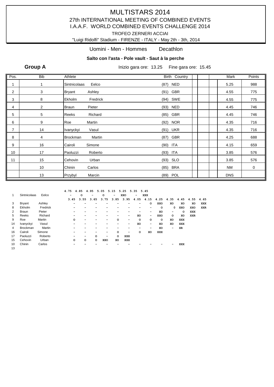#### "Luigi Ridolfi" Stadium - FIRENZE - ITALY - May 2th - 3th, 2014

#### Uomini - Men - Hommes Decathlon

#### **Salto con l'asta - Pole vault - Saut à la perche**

**Group A** Inizio gara ore: 13.25 Fine gara ore: 15.45

| Pos.           | <b>Bib</b>     | Athlete                   | Birth Country | Mark       | Points      |
|----------------|----------------|---------------------------|---------------|------------|-------------|
|                | 1              | Eelco<br>Sintnicolaas     | (87) NED      | 5.25       | 988         |
| $\overline{c}$ | 3              | Ashley<br><b>Bryant</b>   | (91) GBR      | 4.55       | 775         |
| 3              | 8              | Ekholm<br>Fredrick        | (94) SWE      | 4.55       | 775         |
| 4              | $\overline{2}$ | Pieter<br>Braun           | (93) NED      | 4.45       | 746         |
| 5              | 5              | Richard<br>Reeks          | (85) GBR      | 4.45       | 746         |
| 6              | 9              | Martin<br>Roe             | (92) NOR      | 4.35       | 716         |
| $\overline{7}$ | 14             | Ivanyckyi<br>Vasul        | (91) UKR      | 4.35       | 716         |
| 8              | 4              | Martin<br><b>Brockman</b> | (87) GBR      | 4.25       | 688         |
| 9              | 16             | Cairoli<br>Simone         | $(90)$ ITA    | 4.15       | 659         |
| 10             | 17             | Paoluzzi<br>Roberto       | $(93)$ ITA    | 3.85       | 576         |
| 11             | 15             | Urban<br>Cehovin          | $(93)$ SLO    | 3.85       | 576         |
|                | 10             | Chinin<br>Carlos          | (85) BRA      | <b>NM</b>  | $\mathbf 0$ |
|                | 13             | Marcin<br>Przybyl         | (89) POL      | <b>DNS</b> |             |

|    |                 |          | 4.75 |         | 4.85    | 4.95 |         | 5.05 5.15 5.25 5.35 |         |            |   |         | 5.45      |            |           |            |            |            |
|----|-----------------|----------|------|---------|---------|------|---------|---------------------|---------|------------|---|---------|-----------|------------|-----------|------------|------------|------------|
| 1  | Sintnicolaas    | Eelco    |      | -       | $\circ$ | -    |         | $\circ$             | -       | XXO        | - |         | XXX       |            |           |            |            |            |
|    |                 |          |      | 3.45    | 3.55    |      | 3.65    | 3.75                | 3.85    | 3.95       |   |         | 4.05 4.15 |            | 4.25 4.35 | 4.45       | 4.55       | 4.65       |
| 3  | <b>Bryant</b>   | Ashley   |      |         |         |      |         |                     |         |            |   |         | O         | XXO        | xо        | XO         | XO         | XXX        |
| 8  | Ekholm          | Fredrick |      |         |         |      |         |                     |         |            |   |         |           | $\circ$    | 0         | XXO        | XXO        | <b>XXR</b> |
| 2  | Braun           | Pieter   |      |         |         |      |         |                     |         |            |   |         |           | XO         | -         | $\circ$    | <b>XXX</b> |            |
| 5  | Reeks           | Richard  |      |         |         |      |         |                     |         |            |   | XO      | -         | XXO        | $\circ$   | XO         | <b>XXR</b> |            |
| 9  | Roe             | Martin   |      | $\circ$ |         |      |         |                     | o       |            |   | $\circ$ | $\circ$   | $\circ$    | XO        | XXX        |            |            |
| 14 | Ivanyckyi       | Vasul    |      |         |         |      |         |                     |         |            |   | XO      | -         | XO         | xо        | XXX        |            |            |
| 4  | <b>Brockman</b> | Martin   |      |         |         |      |         |                     |         |            |   |         | -         | XO         | -         | XR         |            |            |
| 16 | Cairoli         | Simone   |      |         |         |      |         | -                   | $\circ$ |            | - | $\circ$ | XO        | <b>XXX</b> |           |            |            |            |
| 17 | Paoluzzi        | Roberto  |      |         |         |      | $\circ$ | -                   | $\circ$ | XXX        |   |         |           |            |           |            |            |            |
| 15 | Cehovin         | Urban    |      | $\circ$ |         | o    | $\circ$ | XXO                 | XO      | <b>XXX</b> |   |         |           |            |           |            |            |            |
| 10 | Chinin          | Carlos   |      |         |         |      |         |                     |         |            |   |         |           |            |           | <b>XXX</b> |            |            |
| 13 |                 |          |      |         |         |      |         |                     |         |            |   |         |           |            |           |            |            |            |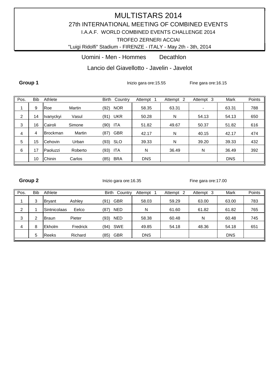"Luigi Ridolfi" Stadium - FIRENZE - ITALY - May 2th - 3th, 2014

Uomini - Men - Hommes Decathlon

Lancio del Giavellotto - Javelin - Javelot

**Group 1** Inizio gara ore:15.55 Fine gara ore:16.15

| Pos.           | <b>Bib</b> | Athlete         |         | <b>Birth</b><br>Country | Attempt    | Attempt 2 | Attempt 3                | Mark       | Points |
|----------------|------------|-----------------|---------|-------------------------|------------|-----------|--------------------------|------------|--------|
|                | 9          | Roe             | Martin  | <b>NOR</b><br>(92)      | 58.35      | 63.31     | $\overline{\phantom{a}}$ | 63.31      | 788    |
| $\overline{2}$ | 14         | Ivanyckyi       | Vasul   | (91) UKR                | 50.28      | N         | 54.13                    | 54.13      | 650    |
| 3              | 16         | Cairoli         | Simone  | ITA<br>(90)             | 51.82      | 49.67     | 50.37                    | 51.82      | 616    |
| 4              | 4          | <b>Brockman</b> | Martin  | <b>GBR</b><br>(87)      | 42.17      | N         | 40.15                    | 42.17      | 474    |
| 5              | 15         | <b>Cehovin</b>  | Urban   | (93) SLO                | 39.33      | N         | 39.20                    | 39.33      | 432    |
| 6              | 17         | Paoluzzi        | Roberto | ITA<br>(93)             | N          | 36.49     | N                        | 36.49      | 392    |
|                | 10         | Chinin          | Carlos  | <b>BRA</b><br>(85)      | <b>DNS</b> |           |                          | <b>DNS</b> |        |

Group 2 **Group 2** Inizio gara ore:16.35 Fine gara ore:17.00

| Pos. | Bib | Athlete       |          | Birth | Country    | Attempt    | Attempt<br>-2 | Attempt 3 | Mark       | Points |
|------|-----|---------------|----------|-------|------------|------------|---------------|-----------|------------|--------|
|      | 3   | <b>Bryant</b> | Ashley   | (91)  | <b>GBR</b> | 58.03      | 59.29         | 63.00     | 63.00      | 783    |
| 2    |     | Sintnicolaas  | Eelco    | (87)  | <b>NED</b> | N          | 61.60         | 61.82     | 61.82      | 765    |
| 3    | 2   | <b>Braun</b>  | Pieter   | (93)  | <b>NED</b> | 58.38      | 60.48         | N         | 60.48      | 745    |
| 4    | 8   | Ekholm        | Fredrick | (94)  | SWE        | 49.85      | 54.18         | 48.36     | 54.18      | 651    |
|      | 5   | <b>Reeks</b>  | Richard  | (85)  | <b>GBR</b> | <b>DNS</b> |               |           | <b>DNS</b> |        |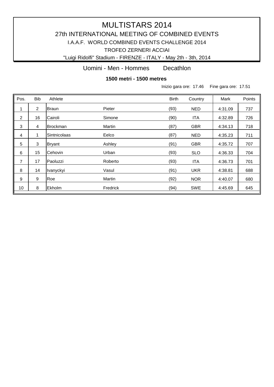# MULTISTARS 2014 27th INTERNATIONAL MEETING OF COMBINED EVENTS TROFEO ZERNERI ACCIAI I.A.A.F. WORLD COMBINED EVENTS CHALLENGE 2014

"Luigi Ridolfi" Stadium - FIRENZE - ITALY - May 2th - 3th, 2014

Uomini - Men - Hommes Decathlon

**1500 metri - 1500 metres** 

Inizio gara ore: 17.46 Fine gara ore: 17.51

| Pos.           | <b>Bib</b>     | Athlete         |          | <b>Birth</b> | Country    | Mark    | Points |
|----------------|----------------|-----------------|----------|--------------|------------|---------|--------|
| 1              | $\overline{2}$ | Braun           | Pieter   | (93)         | <b>NED</b> | 4:31.09 | 737    |
| $\overline{2}$ | 16             | Cairoli         | Simone   | (90)         | <b>ITA</b> | 4:32.89 | 726    |
| $\sqrt{3}$     | 4              | <b>Brockman</b> | Martin   | (87)         | <b>GBR</b> | 4:34.13 | 718    |
| $\overline{4}$ |                | Sintnicolaas    | Eelco    | (87)         | <b>NED</b> | 4:35.23 | 711    |
| 5              | 3              | <b>Bryant</b>   | Ashley   | (91)         | <b>GBR</b> | 4:35.72 | 707    |
| 6              | 15             | Cehovin         | Urban    | (93)         | <b>SLO</b> | 4:36.33 | 704    |
| $\overline{7}$ | 17             | Paoluzzi        | Roberto  | (93)         | <b>ITA</b> | 4:36.73 | 701    |
| 8              | 14             | Ivanyckyi       | Vasul    | (91)         | <b>UKR</b> | 4:38.81 | 688    |
| 9              | 9              | Roe             | Martin   | (92)         | <b>NOR</b> | 4:40.07 | 680    |
| 10             | 8              | Ekholm          | Fredrick | (94)         | <b>SWE</b> | 4:45.69 | 645    |